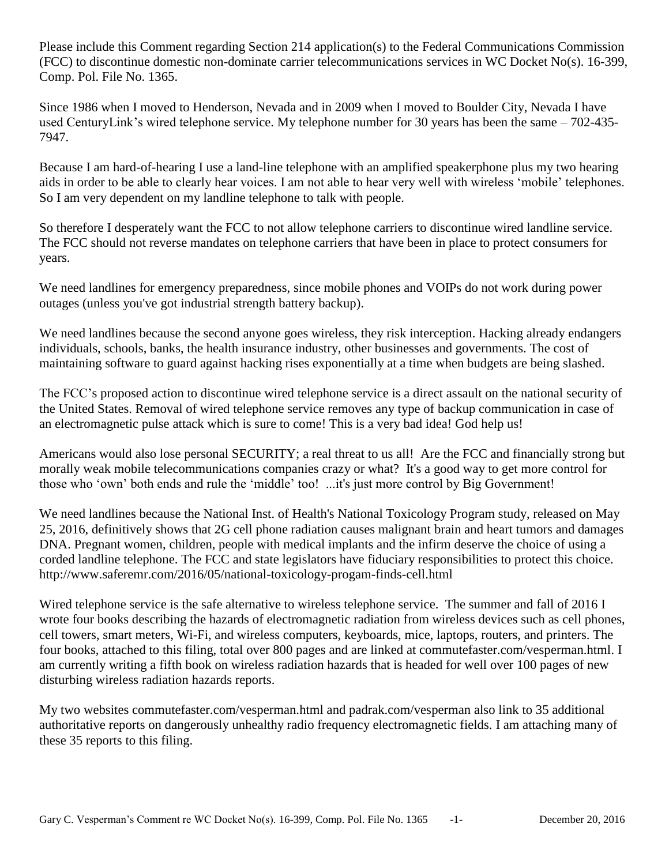Please include this Comment regarding Section 214 application(s) to the Federal Communications Commission (FCC) to discontinue domestic non-dominate carrier telecommunications services in WC Docket No(s). 16-399, Comp. Pol. File No. 1365.

Since 1986 when I moved to Henderson, Nevada and in 2009 when I moved to Boulder City, Nevada I have used CenturyLink's wired telephone service. My telephone number for 30 years has been the same – 702-435- 7947.

Because I am hard-of-hearing I use a land-line telephone with an amplified speakerphone plus my two hearing aids in order to be able to clearly hear voices. I am not able to hear very well with wireless 'mobile' telephones. So I am very dependent on my landline telephone to talk with people.

So therefore I desperately want the FCC to not allow telephone carriers to discontinue wired landline service. The FCC should not reverse mandates on telephone carriers that have been in place to protect consumers for years.

We need landlines for emergency preparedness, since mobile phones and VOIPs do not work during power outages (unless you've got industrial strength battery backup).

We need landlines because the second anyone goes wireless, they risk interception. Hacking already endangers individuals, schools, banks, the health insurance industry, other businesses and governments. The cost of maintaining software to guard against hacking rises exponentially at a time when budgets are being slashed.

The FCC's proposed action to discontinue wired telephone service is a direct assault on the national security of the United States. Removal of wired telephone service removes any type of backup communication in case of an electromagnetic pulse attack which is sure to come! This is a very bad idea! God help us!

Americans would also lose personal SECURITY; a real threat to us all! Are the FCC and financially strong but morally weak mobile telecommunications companies crazy or what? It's a good way to get more control for those who 'own' both ends and rule the 'middle' too! ...it's just more control by Big Government!

We need landlines because the National Inst. of Health's National Toxicology Program study, released on May 25, 2016, definitively shows that 2G cell phone radiation causes malignant brain and heart tumors and damages DNA. Pregnant women, children, people with medical implants and the infirm deserve the choice of using a corded landline telephone. The FCC and state legislators have fiduciary responsibilities to protect this choice. http://www.saferemr.com/2016/05/national-toxicology-progam-finds-cell.html

Wired telephone service is the safe alternative to wireless telephone service. The summer and fall of 2016 I wrote four books describing the hazards of electromagnetic radiation from wireless devices such as cell phones, cell towers, smart meters, Wi-Fi, and wireless computers, keyboards, mice, laptops, routers, and printers. The four books, attached to this filing, total over 800 pages and are linked at commutefaster.com/vesperman.html. I am currently writing a fifth book on wireless radiation hazards that is headed for well over 100 pages of new disturbing wireless radiation hazards reports.

My two websites commutefaster.com/vesperman.html and padrak.com/vesperman also link to 35 additional authoritative reports on dangerously unhealthy radio frequency electromagnetic fields. I am attaching many of these 35 reports to this filing.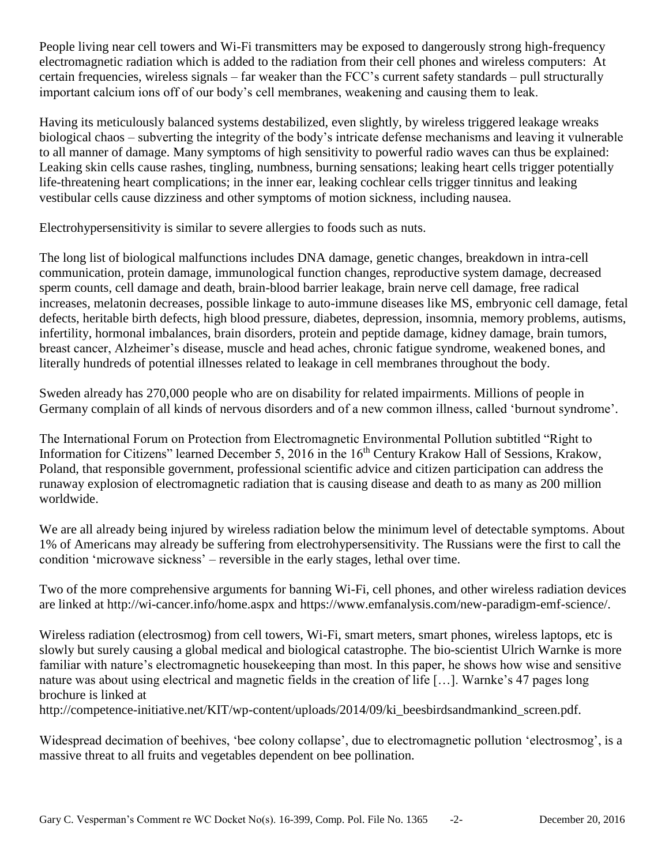People living near cell towers and Wi-Fi transmitters may be exposed to dangerously strong high-frequency electromagnetic radiation which is added to the radiation from their cell phones and wireless computers: At certain frequencies, wireless signals – far weaker than the FCC's current safety standards – pull structurally important calcium ions off of our body's cell membranes, weakening and causing them to leak.

Having its meticulously balanced systems destabilized, even slightly, by wireless triggered leakage wreaks biological chaos – subverting the integrity of the body's intricate defense mechanisms and leaving it vulnerable to all manner of damage. Many symptoms of high sensitivity to powerful radio waves can thus be explained: Leaking skin cells cause rashes, tingling, numbness, burning sensations; leaking heart cells trigger potentially life-threatening heart complications; in the inner ear, leaking cochlear cells trigger tinnitus and leaking vestibular cells cause dizziness and other symptoms of motion sickness, including nausea.

Electrohypersensitivity is similar to severe allergies to foods such as nuts.

The long list of biological malfunctions includes DNA damage, genetic changes, breakdown in intra-cell communication, protein damage, immunological function changes, reproductive system damage, decreased sperm counts, cell damage and death, brain-blood barrier leakage, brain nerve cell damage, free radical increases, melatonin decreases, possible linkage to auto-immune diseases like MS, embryonic cell damage, fetal defects, heritable birth defects, high blood pressure, diabetes, depression, insomnia, memory problems, autisms, infertility, hormonal imbalances, brain disorders, protein and peptide damage, kidney damage, brain tumors, breast cancer, Alzheimer's disease, muscle and head aches, chronic fatigue syndrome, weakened bones, and literally hundreds of potential illnesses related to leakage in cell membranes throughout the body.

Sweden already has 270,000 people who are on disability for related impairments. Millions of people in Germany complain of all kinds of nervous disorders and of a new common illness, called 'burnout syndrome'.

The International Forum on Protection from Electromagnetic Environmental Pollution subtitled "Right to Information for Citizens" learned December 5, 2016 in the 16<sup>th</sup> Century Krakow Hall of Sessions, Krakow, Poland, that responsible government, professional scientific advice and citizen participation can address the runaway explosion of electromagnetic radiation that is causing disease and death to as many as 200 million worldwide.

We are all already being injured by wireless radiation below the minimum level of detectable symptoms. About 1% of Americans may already be suffering from electrohypersensitivity. The Russians were the first to call the condition 'microwave sickness' – reversible in the early stages, lethal over time.

Two of the more comprehensive arguments for banning Wi-Fi, cell phones, and other wireless radiation devices are linked at http://wi-cancer.info/home.aspx and https://www.emfanalysis.com/new-paradigm-emf-science/.

Wireless radiation (electrosmog) from cell towers, Wi-Fi, smart meters, smart phones, wireless laptops, etc is slowly but surely causing a global medical and biological catastrophe. The bio-scientist Ulrich Warnke is more familiar with nature's electromagnetic housekeeping than most. In this paper, he shows how wise and sensitive nature was about using electrical and magnetic fields in the creation of life […]. Warnke's 47 pages long brochure is linked at

http://competence-initiative.net/KIT/wp-content/uploads/2014/09/ki\_beesbirdsandmankind\_screen.pdf.

Widespread decimation of beehives, 'bee colony collapse', due to electromagnetic pollution 'electrosmog', is a massive threat to all fruits and vegetables dependent on bee pollination.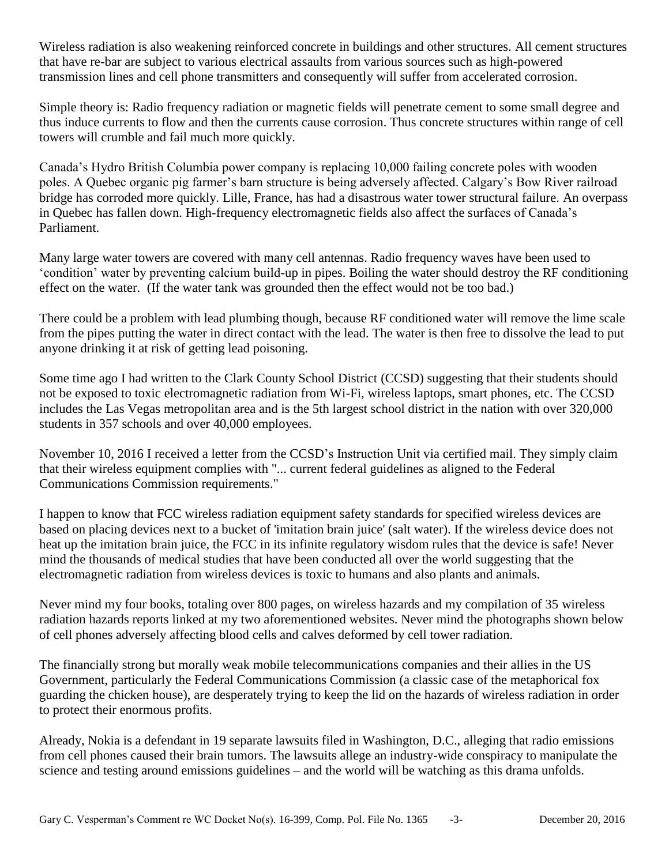Wireless radiation is also weakening reinforced concrete in buildings and other structures. All cement structures that have re-bar are subject to various electrical assaults from various sources such as high-powered transmission lines and cell phone transmitters and consequently will suffer from accelerated corrosion.

Simple theory is: Radio frequency radiation or magnetic fields will penetrate cement to some small degree and thus induce currents to flow and then the currents cause corrosion. Thus concrete structures within range of cell towers will crumble and fail much more quickly.

Canada's Hydro British Columbia power company is replacing 10,000 failing concrete poles with wooden poles. A Quebec organic pig farmer's barn structure is being adversely affected. Calgary's Bow River railroad bridge has corroded more quickly. Lille, France, has had a disastrous water tower structural failure. An overpass in Quebec has fallen down. High-frequency electromagnetic fields also affect the surfaces of Canada's Parliament.

Many large water towers are covered with many cell antennas. Radio frequency waves have been used to 'condition' water by preventing calcium build-up in pipes. Boiling the water should destroy the RF conditioning effect on the water. (If the water tank was grounded then the effect would not be too bad.)

There could be a problem with lead plumbing though, because RF conditioned water will remove the lime scale from the pipes putting the water in direct contact with the lead. The water is then free to dissolve the lead to put anyone drinking it at risk of getting lead poisoning.

Some time ago I had written to the Clark County School District (CCSD) suggesting that their students should not be exposed to toxic electromagnetic radiation from Wi-Fi, wireless laptops, smart phones, etc. The CCSD includes the Las Vegas metropolitan area and is the 5th largest school district in the nation with over 320,000 students in 357 schools and over 40,000 employees.

November 10, 2016 I received a letter from the CCSD's Instruction Unit via certified mail. They simply claim that their wireless equipment complies with "... current federal guidelines as aligned to the Federal Communications Commission requirements."

I happen to know that FCC wireless radiation equipment safety standards for specified wireless devices are based on placing devices next to a bucket of 'imitation brain juice' (salt water). If the wireless device does not heat up the imitation brain juice, the FCC in its infinite regulatory wisdom rules that the device is safe! Never mind the thousands of medical studies that have been conducted all over the world suggesting that the electromagnetic radiation from wireless devices is toxic to humans and also plants and animals.

Never mind my four books, totaling over 800 pages, on wireless hazards and my compilation of 35 wireless radiation hazards reports linked at my two aforementioned websites. Never mind the photographs shown below of cell phones adversely affecting blood cells and calves deformed by cell tower radiation.

The financially strong but morally weak mobile telecommunications companies and their allies in the US Government, particularly the Federal Communications Commission (a classic case of the metaphorical fox guarding the chicken house), are desperately trying to keep the lid on the hazards of wireless radiation in order to protect their enormous profits.

Already, Nokia is a defendant in 19 separate lawsuits filed in Washington, D.C., alleging that radio emissions from cell phones caused their brain tumors. The lawsuits allege an industry-wide conspiracy to manipulate the science and testing around emissions guidelines – and the world will be watching as this drama unfolds.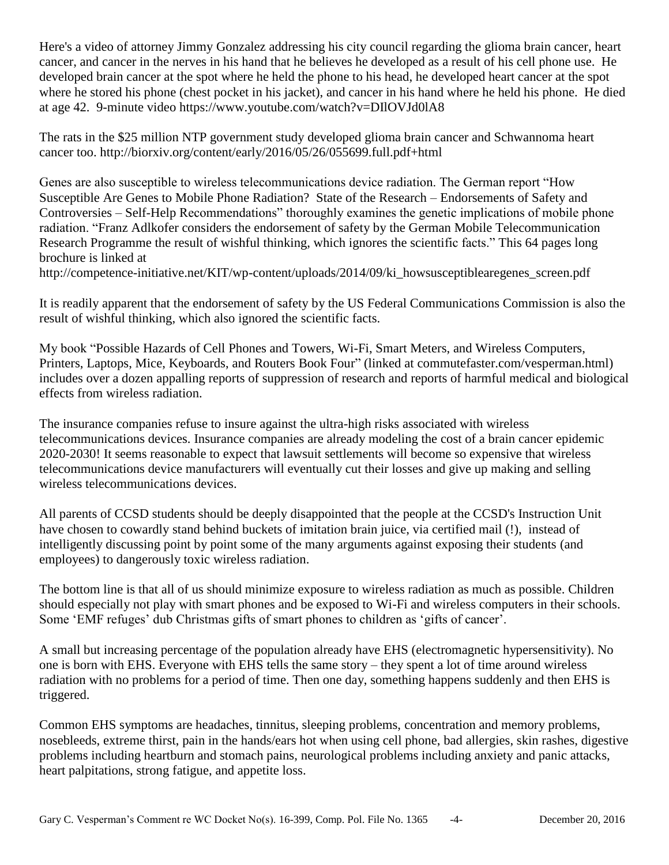Here's a video of attorney Jimmy Gonzalez addressing his city council regarding the glioma brain cancer, heart cancer, and cancer in the nerves in his hand that he believes he developed as a result of his cell phone use. He developed brain cancer at the spot where he held the phone to his head, he developed heart cancer at the spot where he stored his phone (chest pocket in his jacket), and cancer in his hand where he held his phone. He died at age 42. 9-minute video https://www.youtube.com/watch?v=DIlOVJd0lA8

The rats in the \$25 million NTP government study developed glioma brain cancer and Schwannoma heart cancer too. http://biorxiv.org/content/early/2016/05/26/055699.full.pdf+html

Genes are also susceptible to wireless telecommunications device radiation. The German report "How Susceptible Are Genes to Mobile Phone Radiation? State of the Research – Endorsements of Safety and Controversies – Self-Help Recommendations" thoroughly examines the genetic implications of mobile phone radiation. "Franz Adlkofer considers the endorsement of safety by the German Mobile Telecommunication Research Programme the result of wishful thinking, which ignores the scientific facts." This 64 pages long brochure is linked at

http://competence-initiative.net/KIT/wp-content/uploads/2014/09/ki howsusceptiblearegenes screen.pdf

It is readily apparent that the endorsement of safety by the US Federal Communications Commission is also the result of wishful thinking, which also ignored the scientific facts.

My book "Possible Hazards of Cell Phones and Towers, Wi-Fi, Smart Meters, and Wireless Computers, Printers, Laptops, Mice, Keyboards, and Routers Book Four" (linked at commutefaster.com/vesperman.html) includes over a dozen appalling reports of suppression of research and reports of harmful medical and biological effects from wireless radiation.

The insurance companies refuse to insure against the ultra-high risks associated with wireless telecommunications devices. Insurance companies are already modeling the cost of a brain cancer epidemic 2020-2030! It seems reasonable to expect that lawsuit settlements will become so expensive that wireless telecommunications device manufacturers will eventually cut their losses and give up making and selling wireless telecommunications devices.

All parents of CCSD students should be deeply disappointed that the people at the CCSD's Instruction Unit have chosen to cowardly stand behind buckets of imitation brain juice, via certified mail (!), instead of intelligently discussing point by point some of the many arguments against exposing their students (and employees) to dangerously toxic wireless radiation.

The bottom line is that all of us should minimize exposure to wireless radiation as much as possible. Children should especially not play with smart phones and be exposed to Wi-Fi and wireless computers in their schools. Some 'EMF refuges' dub Christmas gifts of smart phones to children as 'gifts of cancer'.

A small but increasing percentage of the population already have EHS (electromagnetic hypersensitivity). No one is born with EHS. Everyone with EHS tells the same story – they spent a lot of time around wireless radiation with no problems for a period of time. Then one day, something happens suddenly and then EHS is triggered.

Common EHS symptoms are headaches, tinnitus, sleeping problems, concentration and memory problems, nosebleeds, extreme thirst, pain in the hands/ears hot when using cell phone, bad allergies, skin rashes, digestive problems including heartburn and stomach pains, neurological problems including anxiety and panic attacks, heart palpitations, strong fatigue, and appetite loss.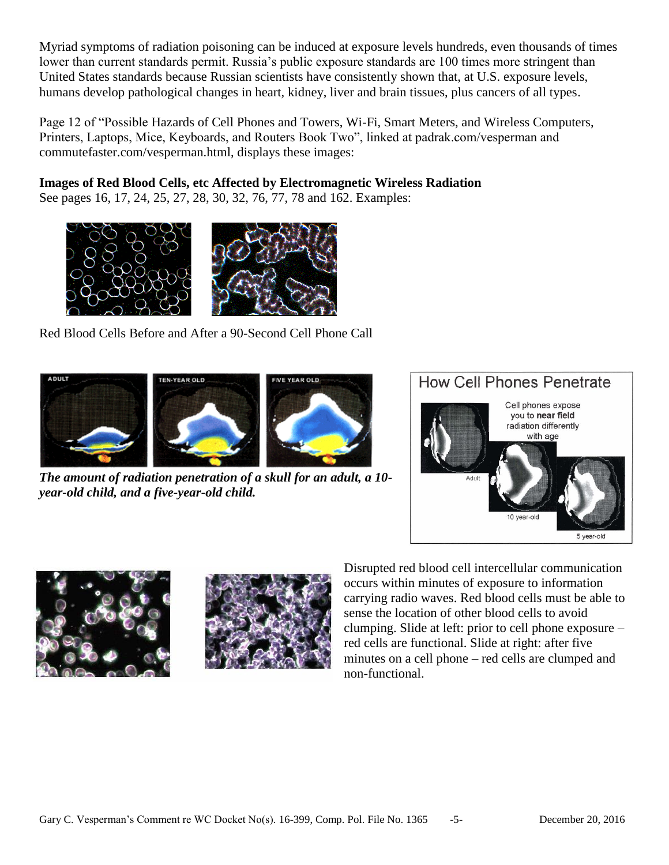Myriad symptoms of radiation poisoning can be induced at exposure levels hundreds, even thousands of times lower than current standards permit. Russia's public exposure standards are 100 times more stringent than United States standards because Russian scientists have consistently shown that, at U.S. exposure levels, humans develop pathological changes in heart, kidney, liver and brain tissues, plus cancers of all types.

Page 12 of "Possible Hazards of Cell Phones and Towers, Wi-Fi, Smart Meters, and Wireless Computers, Printers, Laptops, Mice, Keyboards, and Routers Book Two", linked at padrak.com/vesperman and commutefaster.com/vesperman.html, displays these images:

**Images of Red Blood Cells, etc Affected by Electromagnetic Wireless Radiation**

See pages 16, 17, 24, 25, 27, 28, 30, 32, 76, 77, 78 and 162. Examples:



Red Blood Cells Before and After a 90-Second Cell Phone Call



*The amount of radiation penetration of a skull for an adult, a 10 year-old child, and a five-year-old child.*







Disrupted red blood cell intercellular communication occurs within minutes of exposure to information carrying radio waves. Red blood cells must be able to sense the location of other blood cells to avoid clumping. Slide at left: prior to cell phone exposure – red cells are functional. Slide at right: after five minutes on a cell phone – red cells are clumped and non-functional.